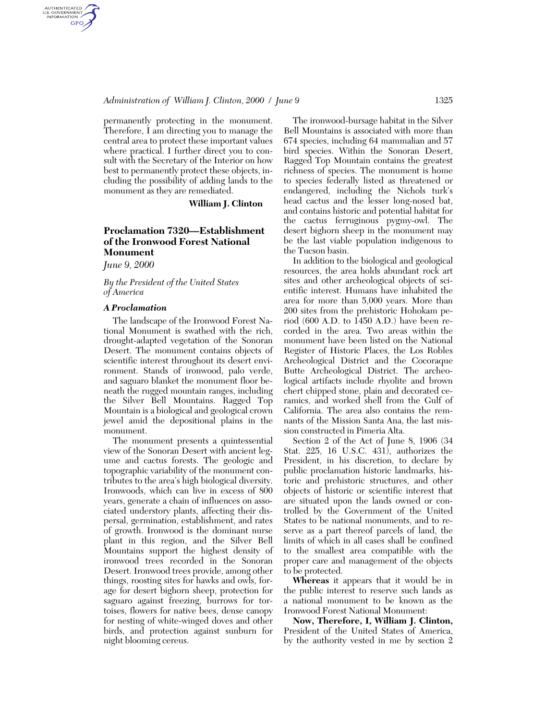#### *Administration of William J. Clinton, 2000 / June 9* 1325

permanently protecting in the monument. Therefore, I am directing you to manage the central area to protect these important values where practical. I further direct you to consult with the Secretary of the Interior on how best to permanently protect these objects, including the possibility of adding lands to the monument as they are remediated.

**William J. Clinton**

# **Proclamation 7320—Establishment of the Ironwood Forest National Monument**

*June 9, 2000*

AUTHENTICATED<br>U.S. GOVERNMENT<br>INFORMATION **GPO** 

> *By the President of the United States of America*

### *A Proclamation*

The landscape of the Ironwood Forest National Monument is swathed with the rich, drought-adapted vegetation of the Sonoran Desert. The monument contains objects of scientific interest throughout its desert environment. Stands of ironwood, palo verde, and saguaro blanket the monument floor beneath the rugged mountain ranges, including the Silver Bell Mountains. Ragged Top Mountain is a biological and geological crown jewel amid the depositional plains in the monument.

The monument presents a quintessential view of the Sonoran Desert with ancient legume and cactus forests. The geologic and topographic variability of the monument contributes to the area's high biological diversity. Ironwoods, which can live in excess of 800 years, generate a chain of influences on associated understory plants, affecting their dispersal, germination, establishment, and rates of growth. Ironwood is the dominant nurse plant in this region, and the Silver Bell Mountains support the highest density of ironwood trees recorded in the Sonoran Desert. Ironwood trees provide, among other things, roosting sites for hawks and owls, forage for desert bighorn sheep, protection for saguaro against freezing, burrows for tortoises, flowers for native bees, dense canopy for nesting of white-winged doves and other birds, and protection against sunburn for night blooming cereus.

The ironwood-bursage habitat in the Silver Bell Mountains is associated with more than 674 species, including 64 mammalian and 57 bird species. Within the Sonoran Desert, Ragged Top Mountain contains the greatest richness of species. The monument is home to species federally listed as threatened or endangered, including the Nichols turk's head cactus and the lesser long-nosed bat, and contains historic and potential habitat for the cactus ferruginous pygmy-owl. The desert bighorn sheep in the monument may be the last viable population indigenous to the Tucson basin.

In addition to the biological and geological resources, the area holds abundant rock art sites and other archeological objects of scientific interest. Humans have inhabited the area for more than 5,000 years. More than 200 sites from the prehistoric Hohokam period (600 A.D. to 1450 A.D.) have been recorded in the area. Two areas within the monument have been listed on the National Register of Historic Places, the Los Robles Archeological District and the Cocoraque Butte Archeological District. The archeological artifacts include rhyolite and brown chert chipped stone, plain and decorated ceramics, and worked shell from the Gulf of California. The area also contains the remnants of the Mission Santa Ana, the last mission constructed in Pimeria Alta.

Section 2 of the Act of June 8, 1906 (34 Stat. 225, 16 U.S.C. 431), authorizes the President, in his discretion, to declare by public proclamation historic landmarks, historic and prehistoric structures, and other objects of historic or scientific interest that are situated upon the lands owned or controlled by the Government of the United States to be national monuments, and to reserve as a part thereof parcels of land, the limits of which in all cases shall be confined to the smallest area compatible with the proper care and management of the objects to be protected.

**Whereas** it appears that it would be in the public interest to reserve such lands as a national monument to be known as the Ironwood Forest National Monument:

**Now, Therefore, I, William J. Clinton,** President of the United States of America, by the authority vested in me by section 2